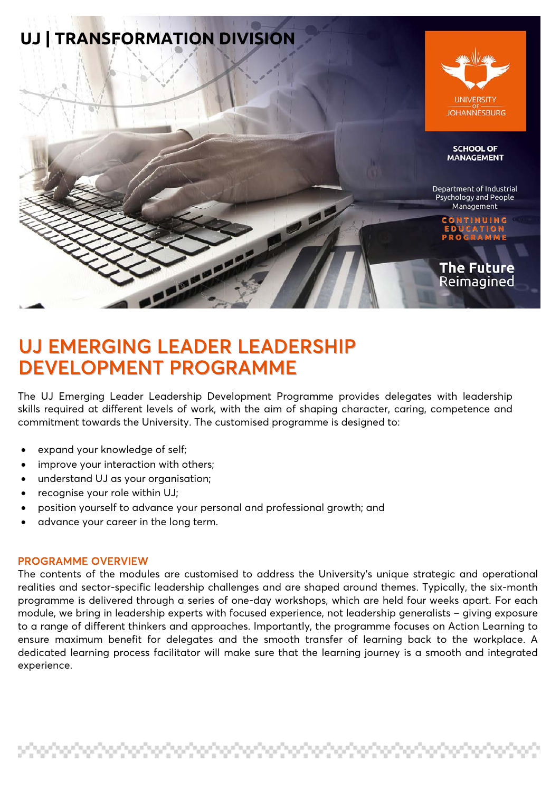

# UJ EMERGING LEADER LEADERSHIP DEVELOPMENT PROGRAMME

The UJ Emerging Leader Leadership Development Programme provides delegates with leadership skills required at different levels of work, with the aim of shaping character, caring, competence and commitment towards the University. The customised programme is designed to:

- expand your knowledge of self;
- improve your interaction with others;
- understand UJ as your organisation;
- recognise your role within UJ;
- position yourself to advance your personal and professional growth; and
- advance your career in the long term.

#### PROGRAMME OVERVIEW

The contents of the modules are customised to address the University's unique strategic and operational realities and sector-specific leadership challenges and are shaped around themes. Typically, the six-month programme is delivered through a series of one-day workshops, which are held four weeks apart. For each module, we bring in leadership experts with focused experience, not leadership generalists – giving exposure to a range of different thinkers and approaches. Importantly, the programme focuses on Action Learning to ensure maximum benefit for delegates and the smooth transfer of learning back to the workplace. A dedicated learning process facilitator will make sure that the learning journey is a smooth and integrated experience.